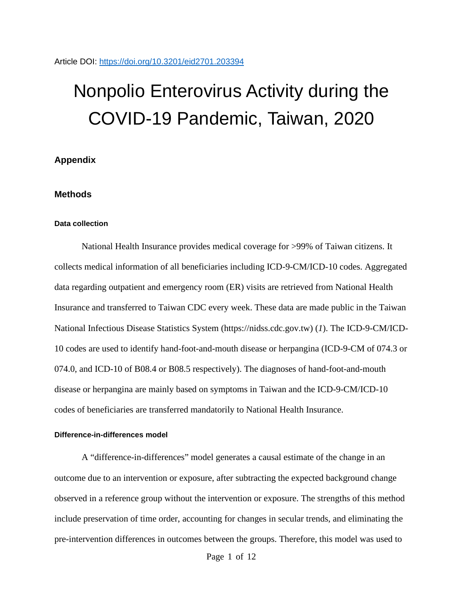# Nonpolio Enterovirus Activity during the COVID-19 Pandemic, Taiwan, 2020

# **Appendix**

## **Methods**

### **Data collection**

National Health Insurance provides medical coverage for >99% of Taiwan citizens. It collects medical information of all beneficiaries including ICD-9-CM/ICD-10 codes. Aggregated data regarding outpatient and emergency room (ER) visits are retrieved from National Health Insurance and transferred to Taiwan CDC every week. These data are made public in the Taiwan National Infectious Disease Statistics System (https://nidss.cdc.gov.tw) (*1*). The ICD-9-CM/ICD-10 codes are used to identify hand-foot-and-mouth disease or herpangina (ICD-9-CM of 074.3 or 074.0, and ICD-10 of B08.4 or B08.5 respectively). The diagnoses of hand-foot-and-mouth disease or herpangina are mainly based on symptoms in Taiwan and the ICD-9-CM/ICD-10 codes of beneficiaries are transferred mandatorily to National Health Insurance.

## **Difference-in-differences model**

A "difference-in-differences" model generates a causal estimate of the change in an outcome due to an intervention or exposure, after subtracting the expected background change observed in a reference group without the intervention or exposure. The strengths of this method include preservation of time order, accounting for changes in secular trends, and eliminating the pre-intervention differences in outcomes between the groups. Therefore, this model was used to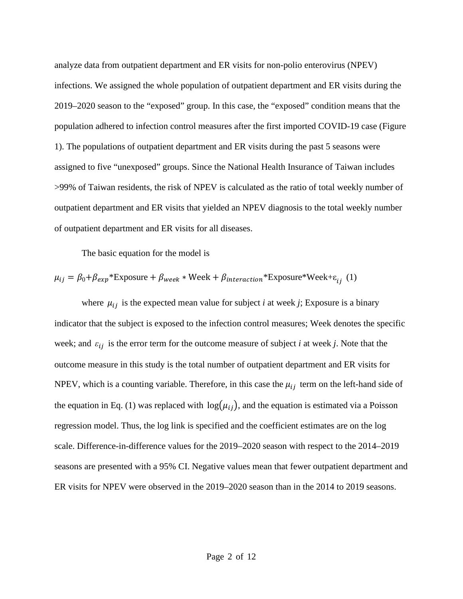analyze data from outpatient department and ER visits for non-polio enterovirus (NPEV) infections. We assigned the whole population of outpatient department and ER visits during the 2019–2020 season to the "exposed" group. In this case, the "exposed" condition means that the population adhered to infection control measures after the first imported COVID-19 case (Figure 1). The populations of outpatient department and ER visits during the past 5 seasons were assigned to five "unexposed" groups. Since the National Health Insurance of Taiwan includes >99% of Taiwan residents, the risk of NPEV is calculated as the ratio of total weekly number of outpatient department and ER visits that yielded an NPEV diagnosis to the total weekly number of outpatient department and ER visits for all diseases.

The basic equation for the model is

$$
\mu_{ij} = \beta_0 + \beta_{exp} * \text{Exposure} + \beta_{week} * \text{Week} + \beta_{interaction} * \text{Exposure} * \text{Week} + \varepsilon_{ij} (1)
$$

where  $\mu_{ij}$  is the expected mean value for subject *i* at week *j*; Exposure is a binary indicator that the subject is exposed to the infection control measures; Week denotes the specific week; and  $\varepsilon_{ij}$  is the error term for the outcome measure of subject *i* at week *j*. Note that the outcome measure in this study is the total number of outpatient department and ER visits for NPEV, which is a counting variable. Therefore, in this case the  $\mu_{ij}$  term on the left-hand side of the equation in Eq. (1) was replaced with  $log(\mu_{ij})$ , and the equation is estimated via a Poisson regression model. Thus, the log link is specified and the coefficient estimates are on the log scale. Difference-in-difference values for the 2019–2020 season with respect to the 2014–2019 seasons are presented with a 95% CI. Negative values mean that fewer outpatient department and ER visits for NPEV were observed in the 2019–2020 season than in the 2014 to 2019 seasons.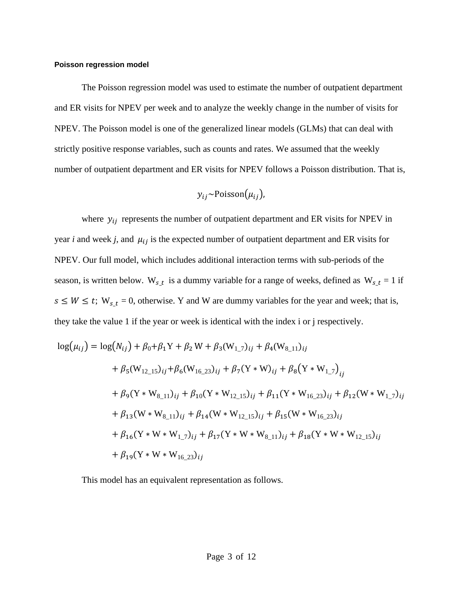### **Poisson regression model**

The Poisson regression model was used to estimate the number of outpatient department and ER visits for NPEV per week and to analyze the weekly change in the number of visits for NPEV. The Poisson model is one of the generalized linear models (GLMs) that can deal with strictly positive response variables, such as counts and rates. We assumed that the weekly number of outpatient department and ER visits for NPEV follows a Poisson distribution. That is,

$$
y_{ij}
$$
~Poisson( $\mu_{ij}$ ),

where  $y_{ij}$  represents the number of outpatient department and ER visits for NPEV in year *i* and week *j*, and  $\mu_{ij}$  is the expected number of outpatient department and ER visits for NPEV. Our full model, which includes additional interaction terms with sub-periods of the season, is written below. W<sub>s\_t</sub> is a dummy variable for a range of weeks, defined as W<sub>s\_t</sub> = 1 if  $s \leq W \leq t$ ;  $W_{s,t} = 0$ , otherwise. Y and W are dummy variables for the year and week; that is, they take the value 1 if the year or week is identical with the index i or j respectively.

$$
log(\mu_{ij}) = log(N_{ij}) + \beta_0 + \beta_1 Y + \beta_2 W + \beta_3 (W_{1,7})_{ij} + \beta_4 (W_{8,11})_{ij}
$$
  
+  $\beta_5 (W_{12,15})_{ij} + \beta_6 (W_{16,23})_{ij} + \beta_7 (Y \times W)_{ij} + \beta_8 (Y \times W_{1,7})_{ij}$   
+  $\beta_9 (Y \times W_{8,11})_{ij} + \beta_{10} (Y \times W_{12,15})_{ij} + \beta_{11} (Y \times W_{16,23})_{ij} + \beta_{12} (W \times W_{1,7})_{ij}$   
+  $\beta_{13} (W \times W_{8,11})_{ij} + \beta_{14} (W \times W_{12,15})_{ij} + \beta_{15} (W \times W_{16,23})_{ij}$   
+  $\beta_{16} (Y \times W \times W_{1,7})_{ij} + \beta_{17} (Y \times W \times W_{8,11})_{ij} + \beta_{18} (Y \times W \times W_{12,15})_{ij}$   
+  $\beta_{19} (Y \times W \times W_{16,23})_{ij}$ 

This model has an equivalent representation as follows.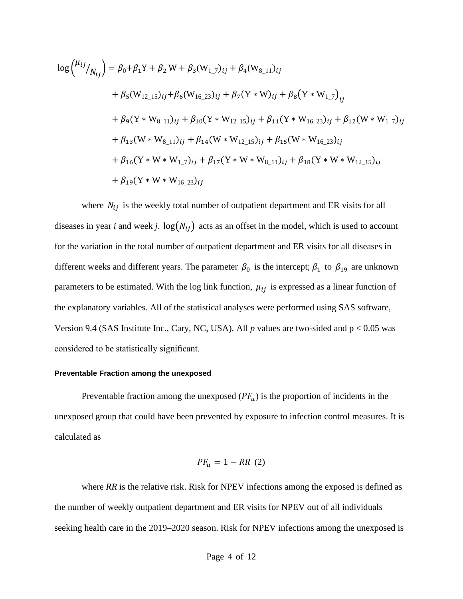$$
\log {\mu_{ij}}_{N_{ij}} = \beta_0 + \beta_1 Y + \beta_2 W + \beta_3 (W_{1,7})_{ij} + \beta_4 (W_{8,11})_{ij}
$$
  
+  $\beta_5 (W_{12,15})_{ij} + \beta_6 (W_{16,23})_{ij} + \beta_7 (Y * W)_{ij} + \beta_8 (Y * W_{1,7})_{ij}$   
+  $\beta_9 (Y * W_{8,11})_{ij} + \beta_{10} (Y * W_{12,15})_{ij} + \beta_{11} (Y * W_{16,23})_{ij} + \beta_{12} (W * W_{1,7})_{ij}$   
+  $\beta_{13} (W * W_{8,11})_{ij} + \beta_{14} (W * W_{12,15})_{ij} + \beta_{15} (W * W_{16,23})_{ij}$   
+  $\beta_{16} (Y * W * W_{1,7})_{ij} + \beta_{17} (Y * W * W_{8,11})_{ij} + \beta_{18} (Y * W * W_{12,15})_{ij}$   
+  $\beta_{19} (Y * W * W_{16,23})_{ij}$ 

where  $N_{ij}$  is the weekly total number of outpatient department and ER visits for all diseases in year *i* and week *j*.  $log(N_{ij})$  acts as an offset in the model, which is used to account for the variation in the total number of outpatient department and ER visits for all diseases in different weeks and different years. The parameter  $\beta_0$  is the intercept;  $\beta_1$  to  $\beta_{19}$  are unknown parameters to be estimated. With the log link function,  $\mu_{ij}$  is expressed as a linear function of the explanatory variables. All of the statistical analyses were performed using SAS software, Version 9.4 (SAS Institute Inc., Cary, NC, USA). All  $p$  values are two-sided and  $p < 0.05$  was considered to be statistically significant.

### **Preventable Fraction among the unexposed**

Preventable fraction among the unexposed  $(PF_u)$  is the proportion of incidents in the unexposed group that could have been prevented by exposure to infection control measures. It is calculated as

$$
PF_u = 1 - RR \ (2)
$$

where *RR* is the relative risk. Risk for NPEV infections among the exposed is defined as the number of weekly outpatient department and ER visits for NPEV out of all individuals seeking health care in the 2019–2020 season. Risk for NPEV infections among the unexposed is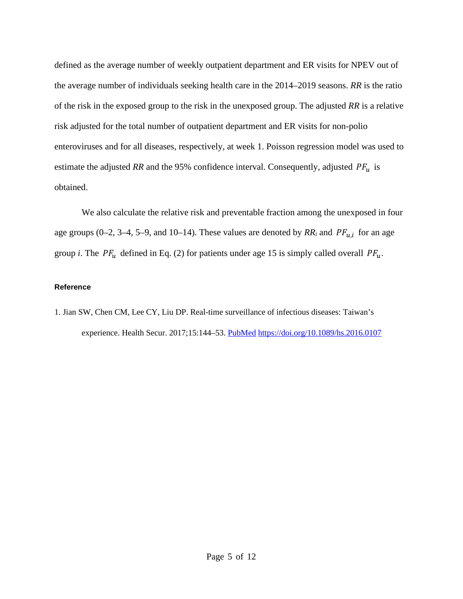defined as the average number of weekly outpatient department and ER visits for NPEV out of the average number of individuals seeking health care in the 2014–2019 seasons. *RR* is the ratio of the risk in the exposed group to the risk in the unexposed group. The adjusted *RR* is a relative risk adjusted for the total number of outpatient department and ER visits for non-polio enteroviruses and for all diseases, respectively, at week 1. Poisson regression model was used to estimate the adjusted RR and the 95% confidence interval. Consequently, adjusted  $PF_u$  is obtained.

We also calculate the relative risk and preventable fraction among the unexposed in four age groups (0–2, 3–4, 5–9, and 10–14). These values are denoted by  $RR_i$  and  $PF_{u,i}$  for an age group *i*. The  $PF_u$  defined in Eq. (2) for patients under age 15 is simply called overall  $PF_u$ .

# **Reference**

1. Jian SW, Chen CM, Lee CY, Liu DP. Real-time surveillance of infectious diseases: Taiwan's experience. Health Secur. 2017;15:144–53. [PubMed](https://www.ncbi.nlm.nih.gov/entrez/query.fcgi?cmd=Retrieve&db=PubMed&list_uids=28418738&dopt=Abstract) <https://doi.org/10.1089/hs.2016.0107>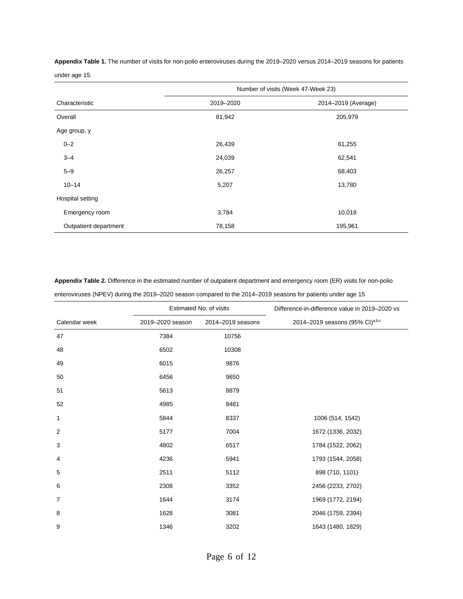**Appendix Table 1.** The number of visits for non-polio enteroviruses during the 2019–2020 versus 2014–2019 seasons for patients under age 15.

|                       | Number of visits (Week 47-Week 23) |                     |  |
|-----------------------|------------------------------------|---------------------|--|
| Characteristic        | 2019-2020                          | 2014-2019 (Average) |  |
| Overall               | 81,942                             | 205,979             |  |
| Age group, y          |                                    |                     |  |
| $0 - 2$               | 26,439                             | 61,255              |  |
| $3 - 4$               | 24,039                             | 62,541              |  |
| $5 - 9$               | 26,257                             | 68,403              |  |
| $10 - 14$             | 5,207                              | 13,780              |  |
| Hospital setting      |                                    |                     |  |
| Emergency room        | 3,784                              | 10,018              |  |
| Outpatient department | 78,158                             | 195,961             |  |

**Appendix Table 2.** Difference in the estimated number of outpatient department and emergency room (ER) visits for non-polio enteroviruses (NPEV) during the 2019–2020 season compared to the 2014–2019 seasons for patients under age 15

|                | Estimated No. of visits |                   | Difference-in-difference value in 2019-2020 vs |
|----------------|-------------------------|-------------------|------------------------------------------------|
| Calendar week  | 2019-2020 season        | 2014-2019 seasons | 2014-2019 seasons (95% CI)a,b,c                |
| 47             | 7384                    | 10756             |                                                |
| 48             | 6502                    | 10308             |                                                |
| 49             | 6015                    | 9876              |                                                |
| 50             | 6456                    | 9650              |                                                |
| 51             | 5613                    | 8879              |                                                |
| 52             | 4985                    | 8481              |                                                |
| 1              | 5844                    | 8337              | 1006 (514, 1542)                               |
| $\overline{2}$ | 5177                    | 7004              | 1672 (1336, 2032)                              |
| 3              | 4802                    | 6517              | 1784 (1522, 2062)                              |
| 4              | 4236                    | 5941              | 1793 (1544, 2058)                              |
| 5              | 2511                    | 5112              | 898 (710, 1101)                                |
| 6              | 2308                    | 3352              | 2456 (2233, 2702)                              |
| $\overline{7}$ | 1644                    | 3174              | 1969 (1772, 2194)                              |
| 8              | 1628                    | 3081              | 2046 (1759, 2394)                              |
| 9              | 1346                    | 3202              | 1643 (1480, 1829)                              |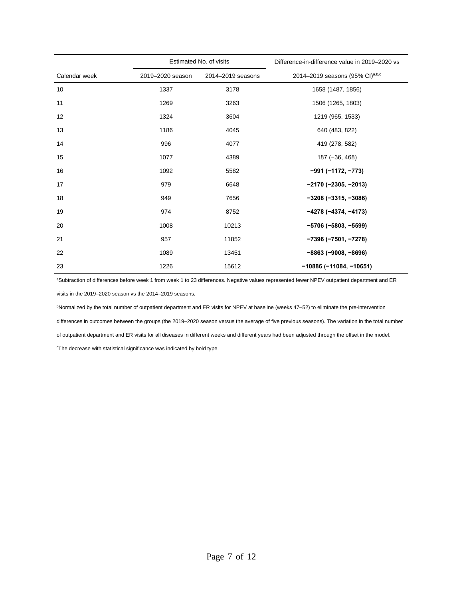|               | Estimated No. of visits |                   | Difference-in-difference value in 2019–2020 vs |
|---------------|-------------------------|-------------------|------------------------------------------------|
| Calendar week | 2019-2020 season        | 2014-2019 seasons | 2014–2019 seasons (95% CI)a,b,c                |
| 10            | 1337                    | 3178              | 1658 (1487, 1856)                              |
| 11            | 1269                    | 3263              | 1506 (1265, 1803)                              |
| 12            | 1324                    | 3604              | 1219 (965, 1533)                               |
| 13            | 1186                    | 4045              | 640 (483, 822)                                 |
| 14            | 996                     | 4077              | 419 (278, 582)                                 |
| 15            | 1077                    | 4389              | 187 (-36, 468)                                 |
| 16            | 1092                    | 5582              | $-991 (-1172, -773)$                           |
| 17            | 979                     | 6648              | $-2170$ (-2305, -2013)                         |
| 18            | 949                     | 7656              | $-3208(-3315,-3086)$                           |
| 19            | 974                     | 8752              | $-4278(-4374, -4173)$                          |
| 20            | 1008                    | 10213             | $-5706 (-5803, -5599)$                         |
| 21            | 957                     | 11852             | $-7396 (-7501, -7278)$                         |
| 22            | 1089                    | 13451             | $-8863$ ( $-9008$ , $-8696$ )                  |
| 23            | 1226                    | 15612             | $-10886(-11084, -10651)$                       |

aSubtraction of differences before week 1 from week 1 to 23 differences. Negative values represented fewer NPEV outpatient department and ER visits in the 2019–2020 season vs the 2014–2019 seasons.

bNormalized by the total number of outpatient department and ER visits for NPEV at baseline (weeks 47-52) to eliminate the pre-intervention differences in outcomes between the groups (the 2019–2020 season versus the average of five previous seasons). The variation in the total number of outpatient department and ER visits for all diseases in different weeks and different years had been adjusted through the offset in the model. c The decrease with statistical significance was indicated by bold type.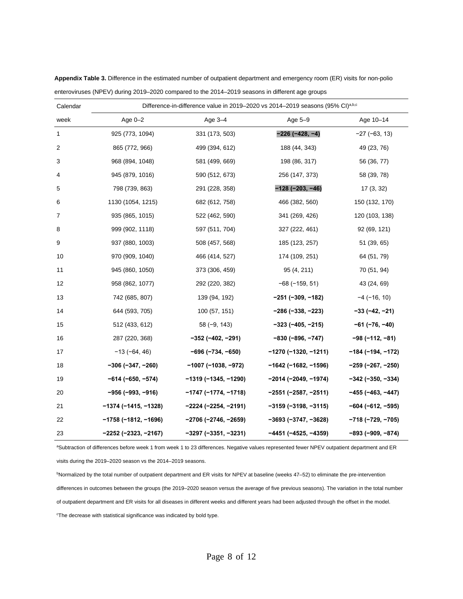| Calendar       | Difference-in-difference value in 2019-2020 vs 2014-2019 seasons (95% CI)a,b,c |                        |                               |                         |
|----------------|--------------------------------------------------------------------------------|------------------------|-------------------------------|-------------------------|
| week           | Age $0-2$                                                                      | Age 3-4                | Age $5-9$                     | Age 10-14               |
| $\mathbf{1}$   | 925 (773, 1094)                                                                | 331 (173, 503)         | $-226(-428, -4)$              | $-27$ ( $-63$ , 13)     |
| $\overline{2}$ | 865 (772, 966)                                                                 | 499 (394, 612)         | 188 (44, 343)                 | 49 (23, 76)             |
| 3              | 968 (894, 1048)                                                                | 581 (499, 669)         | 198 (86, 317)                 | 56 (36, 77)             |
| 4              | 945 (879, 1016)                                                                | 590 (512, 673)         | 256 (147, 373)                | 58 (39, 78)             |
| 5              | 798 (739, 863)                                                                 | 291 (228, 358)         | $-128(-203, -46)$             | 17(3, 32)               |
| 6              | 1130 (1054, 1215)                                                              | 682 (612, 758)         | 466 (382, 560)                | 150 (132, 170)          |
| 7              | 935 (865, 1015)                                                                | 522 (462, 590)         | 341 (269, 426)                | 120 (103, 138)          |
| 8              | 999 (902, 1118)                                                                | 597 (511, 704)         | 327 (222, 461)                | 92 (69, 121)            |
| 9              | 937 (880, 1003)                                                                | 508 (457, 568)         | 185 (123, 257)                | 51 (39, 65)             |
| 10             | 970 (909, 1040)                                                                | 466 (414, 527)         | 174 (109, 251)                | 64 (51, 79)             |
| 11             | 945 (860, 1050)                                                                | 373 (306, 459)         | 95 (4, 211)                   | 70 (51, 94)             |
| 12             | 958 (862, 1077)                                                                | 292 (220, 382)         | $-68$ ( $-159$ , 51)          | 43 (24, 69)             |
| 13             | 742 (685, 807)                                                                 | 139 (94, 192)          | $-251$ (-309, -182)           | $-4$ ( $-16$ , 10)      |
| 14             | 644 (593, 705)                                                                 | 100 (57, 151)          | $-286$ ( $-338$ , $-223$ )    | $-33(-42, -21)$         |
| 15             | 512 (433, 612)                                                                 | $58(-9, 143)$          | $-323$ (-405, -215)           | $-61$ ( $-76$ , $-40$ ) |
| 16             | 287 (220, 368)                                                                 | $-352$ (-402, -291)    | $-830 (-896, -747)$           | $-98(-112, -81)$        |
| 17             | $-13(-64, 46)$                                                                 | $-696 (-734, -650)$    | $-1270$ (-1320, -1211)        | $-184 (-194, -172)$     |
| 18             | $-306(-347, -260)$                                                             | $-1007$ (-1038, -972)  | $-1642$ (-1682, -1596)        | $-259(-267, -250)$      |
| 19             | $-614 (-650, -574)$                                                            | $-1319(-1345, -1290)$  | $-2014$ (-2049, -1974)        | $-342$ (-350, -334)     |
| 20             | $-956$ (-993, -916)                                                            | $-1747 (-1774, -1718)$ | $-2551$ (-2587, -2511)        | −455 (−463, −447)       |
| 21             | $-1374$ (-1415, -1328)                                                         | $-2224 (-2254, -2191)$ | $-3159$ ( $-3198$ , $-3115$ ) | $-604 (-612, -595)$     |
| 22             | $-1758$ (-1812, -1696)                                                         | $-2706 (-2746, -2659)$ | $-3693 (-3747, -3628)$        | -718 (-729, -705)       |
| 23             | $-2252$ (-2323, -2167)                                                         | $-3297$ (-3351, -3231) | $-4451$ (-4525, -4359)        | $-893$ (-909, -874)     |

**Appendix Table 3.** Difference in the estimated number of outpatient department and emergency room (ER) visits for non-polio enteroviruses (NPEV) during 2019–2020 compared to the 2014–2019 seasons in different age groups

aSubtraction of differences before week 1 from week 1 to 23 differences. Negative values represented fewer NPEV outpatient department and ER

visits during the 2019–2020 season vs the 2014–2019 seasons.

bNormalized by the total number of outpatient department and ER visits for NPEV at baseline (weeks 47–52) to eliminate the pre-intervention differences in outcomes between the groups (the 2019–2020 season versus the average of five previous seasons). The variation in the total number of outpatient department and ER visits for all diseases in different weeks and different years had been adjusted through the offset in the model. c The decrease with statistical significance was indicated by bold type.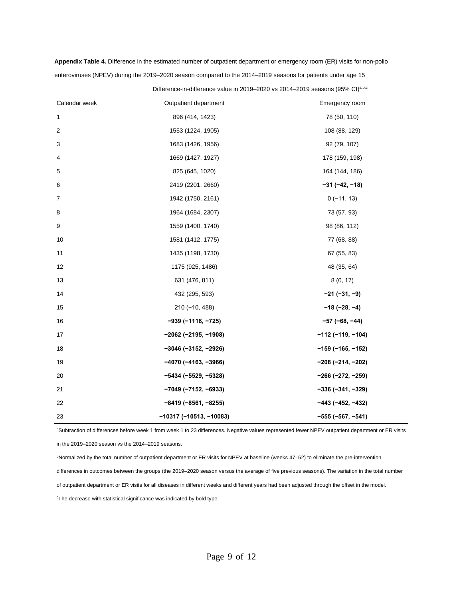|                | Difference-in-difference value in 2019–2020 vs 2014–2019 seasons (95% CI)a,b,c |                            |  |
|----------------|--------------------------------------------------------------------------------|----------------------------|--|
| Calendar week  | Outpatient department                                                          | Emergency room             |  |
| $\mathbf{1}$   | 896 (414, 1423)                                                                | 78 (50, 110)               |  |
| $\overline{c}$ | 1553 (1224, 1905)                                                              | 108 (88, 129)              |  |
| 3              | 1683 (1426, 1956)                                                              | 92 (79, 107)               |  |
| 4              | 1669 (1427, 1927)                                                              | 178 (159, 198)             |  |
| 5              | 825 (645, 1020)                                                                | 164 (144, 186)             |  |
| 6              | 2419 (2201, 2660)                                                              | $-31 (-42, -18)$           |  |
| 7              | 1942 (1750, 2161)                                                              | $0(-11, 13)$               |  |
| 8              | 1964 (1684, 2307)                                                              | 73 (57, 93)                |  |
| 9              | 1559 (1400, 1740)                                                              | 98 (86, 112)               |  |
| 10             | 1581 (1412, 1775)                                                              | 77 (68, 88)                |  |
| 11             | 1435 (1198, 1730)                                                              | 67 (55, 83)                |  |
| 12             | 1175 (925, 1486)                                                               | 48 (35, 64)                |  |
| 13             | 631 (476, 811)                                                                 | 8(0, 17)                   |  |
| 14             | 432 (295, 593)                                                                 | $-21 (-31, -9)$            |  |
| 15             | $210(-10, 488)$                                                                | $-18(-28, -4)$             |  |
| 16             | $-939(-1116, -725)$                                                            | $-57$ (-68, -44)           |  |
| 17             | $-2062$ (-2195, -1908)                                                         | $-112$ (-119, -104)        |  |
| 18             | $-3046$ (-3152, -2926)                                                         | $-159$ (-165, -152)        |  |
| 19             | $-4070$ (-4163, -3966)                                                         | $-208 (-214, -202)$        |  |
| 20             | $-5434 (-5529, -5328)$                                                         | $-266$ ( $-272$ , $-259$ ) |  |
| 21             | $-7049$ (-7152, -6933)                                                         | $-336(-341, -329)$         |  |
| 22             | $-8419(-8561, -8255)$                                                          | $-443$ (-452, -432)        |  |
| 23             | $-10317$ (-10513, -10083)                                                      | $-555 (-567, -541)$        |  |

**Appendix Table 4.** Difference in the estimated number of outpatient department or emergency room (ER) visits for non-polio enteroviruses (NPEV) during the 2019–2020 season compared to the 2014–2019 seasons for patients under age 15

aSubtraction of differences before week 1 from week 1 to 23 differences. Negative values represented fewer NPEV outpatient department or ER visits

in the 2019–2020 season vs the 2014–2019 seasons.

bNormalized by the total number of outpatient department or ER visits for NPEV at baseline (weeks 47–52) to eliminate the pre-intervention differences in outcomes between the groups (the 2019–2020 season versus the average of five previous seasons). The variation in the total number of outpatient department or ER visits for all diseases in different weeks and different years had been adjusted through the offset in the model. c The decrease with statistical significance was indicated by bold type.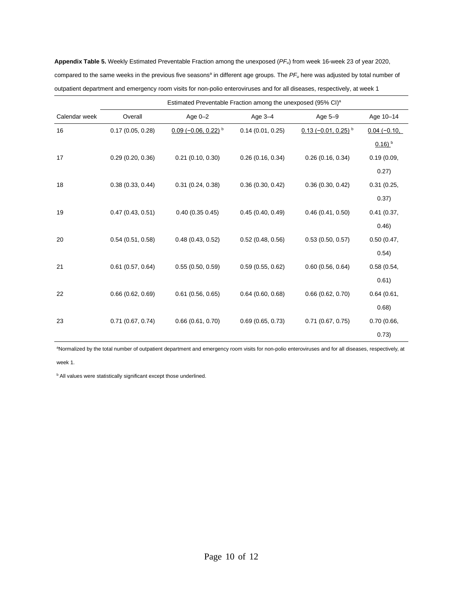**Appendix Table 5.** Weekly Estimated Preventable Fraction among the unexposed (*PFu*) from week 16-week 23 of year 2020, compared to the same weeks in the previous five seasons<sup>a</sup> in different age groups. The PF<sub>u</sub> here was adjusted by total number of outpatient department and emergency room visits for non-polio enteroviruses and for all diseases, respectively, at week 1

|               |                     | Estimated Preventable Fraction among the unexposed (95% CI) <sup>a</sup> |                     |                                   |                      |  |
|---------------|---------------------|--------------------------------------------------------------------------|---------------------|-----------------------------------|----------------------|--|
| Calendar week | Overall             | Age $0-2$                                                                | Age $3-4$           | Age 5-9                           | Age 10-14            |  |
| 16            | 0.17(0.05, 0.28)    | $0.09$ (-0.06, 0.22) <sup>b</sup>                                        | 0.14(0.01, 0.25)    | $0.13$ (-0.01, 0.25) <sup>b</sup> | $0.04(-0.10,$        |  |
|               |                     |                                                                          |                     |                                   | $0.16)$ <sup>b</sup> |  |
| 17            | 0.29(0.20, 0.36)    | $0.21$ (0.10, 0.30)                                                      | 0.26(0.16, 0.34)    | 0.26(0.16, 0.34)                  | 0.19(0.09,           |  |
|               |                     |                                                                          |                     |                                   | 0.27)                |  |
| 18            | 0.38(0.33, 0.44)    | 0.31(0.24, 0.38)                                                         | 0.36(0.30, 0.42)    | 0.36(0.30, 0.42)                  | 0.31(0.25,           |  |
|               |                     |                                                                          |                     |                                   | 0.37)                |  |
| 19            | 0.47(0.43, 0.51)    | 0.40(0.350.45)                                                           | 0.45(0.40, 0.49)    | 0.46(0.41, 0.50)                  | 0.41(0.37,           |  |
|               |                     |                                                                          |                     |                                   | 0.46                 |  |
| 20            | 0.54(0.51, 0.58)    | 0.48(0.43, 0.52)                                                         | 0.52(0.48, 0.56)    | 0.53(0.50, 0.57)                  | 0.50(0.47,           |  |
|               |                     |                                                                          |                     |                                   | 0.54)                |  |
| 21            | $0.61$ (0.57, 0.64) | 0.55(0.50, 0.59)                                                         | 0.59(0.55, 0.62)    | 0.60(0.56, 0.64)                  | 0.58(0.54,           |  |
|               |                     |                                                                          |                     |                                   | 0.61)                |  |
| 22            | 0.66(0.62, 0.69)    | $0.61$ (0.56, 0.65)                                                      | $0.64$ (0.60, 0.68) | 0.66(0.62, 0.70)                  | 0.64(0.61,           |  |
|               |                     |                                                                          |                     |                                   | 0.68                 |  |
| 23            | $0.71$ (0.67, 0.74) | 0.66(0.61, 0.70)                                                         | 0.69(0.65, 0.73)    | $0.71$ (0.67, 0.75)               | 0.70(0.66,           |  |
|               |                     |                                                                          |                     |                                   | 0.73)                |  |

a Normalized by the total number of outpatient department and emergency room visits for non-polio enteroviruses and for all diseases, respectively, at

week 1.

**b** All values were statistically significant except those underlined.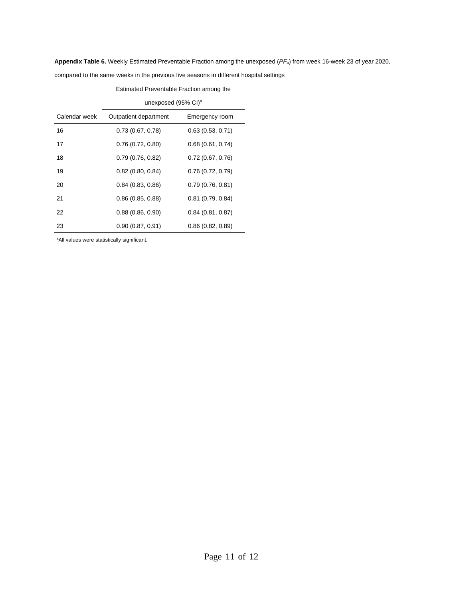**Appendix Table 6.** Weekly Estimated Preventable Fraction among the unexposed (*PFu*) from week 16-week 23 of year 2020,

|               | Estimated Preventable Fraction among the |                     |  |
|---------------|------------------------------------------|---------------------|--|
|               | unexposed $(95\% \text{ Cl})^{\text{a}}$ |                     |  |
| Calendar week | Outpatient department                    | Emergency room      |  |
| 16            | 0.73(0.67, 0.78)                         | 0.63(0.53, 0.71)    |  |
| 17            | 0.76(0.72, 0.80)                         | 0.68(0.61, 0.74)    |  |
| 18            | 0.79(0.76, 0.82)                         | 0.72(0.67, 0.76)    |  |
| 19            | $0.82$ (0.80, 0.84)                      | 0.76(0.72, 0.79)    |  |
| 20            | 0.84(0.83, 0.86)                         | 0.79(0.76, 0.81)    |  |
| 21            | 0.86(0.85, 0.88)                         | $0.81$ (0.79, 0.84) |  |
| 22            | 0.88(0.86, 0.90)                         | 0.84(0.81, 0.87)    |  |
| 23            | 0.90(0.87, 0.91)                         | 0.86(0.82, 0.89)    |  |

compared to the same weeks in the previous five seasons in different hospital settings

aAll values were statistically significant.